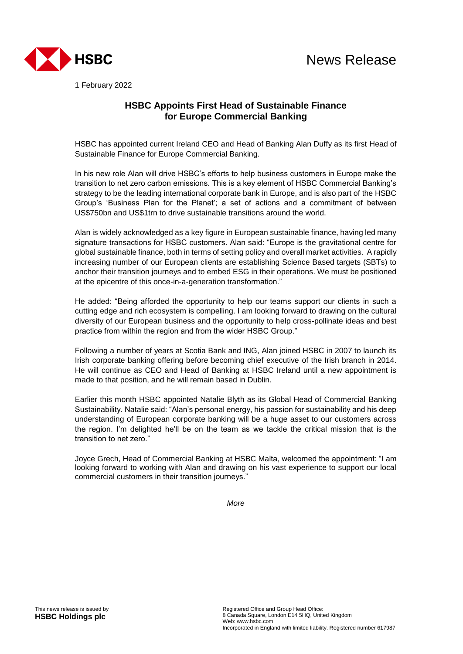

1 February 2022

# **HSBC Appoints First Head of Sustainable Finance for Europe Commercial Banking**

HSBC has appointed current Ireland CEO and Head of Banking Alan Duffy as its first Head of Sustainable Finance for Europe Commercial Banking.

In his new role Alan will drive HSBC's efforts to help business customers in Europe make the transition to net zero carbon emissions. This is a key element of HSBC Commercial Banking's strategy to be the leading international corporate bank in Europe, and is also part of the HSBC Group's 'Business Plan for the Planet'; a set of actions and a commitment of between US\$750bn and US\$1trn to drive sustainable transitions around the world.

Alan is widely acknowledged as a key figure in European sustainable finance, having led many signature transactions for HSBC customers. Alan said: "Europe is the gravitational centre for global sustainable finance, both in terms of setting policy and overall market activities. A rapidly increasing number of our European clients are establishing Science Based targets (SBTs) to anchor their transition journeys and to embed ESG in their operations. We must be positioned at the epicentre of this once-in-a-generation transformation."

He added: "Being afforded the opportunity to help our teams support our clients in such a cutting edge and rich ecosystem is compelling. I am looking forward to drawing on the cultural diversity of our European business and the opportunity to help cross-pollinate ideas and best practice from within the region and from the wider HSBC Group."

Following a number of years at Scotia Bank and ING, Alan joined HSBC in 2007 to launch its Irish corporate banking offering before becoming chief executive of the Irish branch in 2014. He will continue as CEO and Head of Banking at HSBC Ireland until a new appointment is made to that position, and he will remain based in Dublin.

Earlier this month HSBC appointed Natalie Blyth as its Global Head of Commercial Banking Sustainability. Natalie said: "Alan's personal energy, his passion for sustainability and his deep understanding of European corporate banking will be a huge asset to our customers across the region. I'm delighted he'll be on the team as we tackle the critical mission that is the transition to net zero."

Joyce Grech, Head of Commercial Banking at HSBC Malta, welcomed the appointment: "I am looking forward to working with Alan and drawing on his vast experience to support our local commercial customers in their transition journeys."

*More*